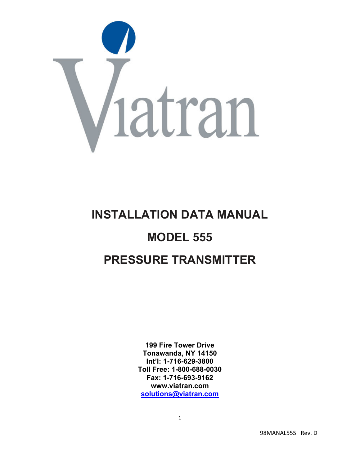

# **INSTALLATION DATA MANUAL MODEL 555 PRESSURE TRANSMITTER**

**199 Fire Tower Drive Tonawanda, NY 14150 Int'l: 1-716-629-3800 Toll Free: 1-800-688-0030 Fax: 1-716-693-9162 www.viatran.com solutions@viatran.com**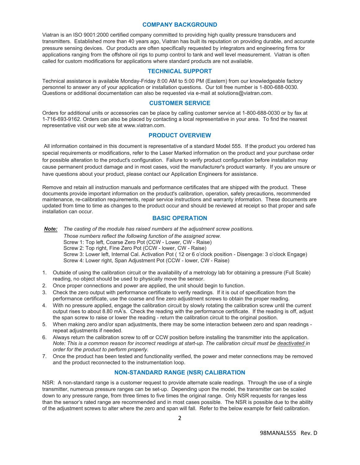#### **COMPANY BACKGROUND**

Viatran is an ISO 9001:2000 certified company committed to providing high quality pressure transducers and transmitters. Established more than 40 years ago, Viatran has built its reputation on providing durable, and accurate pressure sensing devices. Our products are often specifically requested by integrators and engineering firms for applications ranging from the offshore oil rigs to pump control to tank and well level measurement. Viatran is often called for custom modifications for applications where standard products are not available.

## **TECHNICAL SUPPORT**

Technical assistance is available Monday-Friday 8:00 AM to 5:00 PM (Eastern) from our knowledgeable factory personnel to answer any of your application or installation questions. Our toll free number is 1-800-688-0030. Questions or additional documentation can also be requested via e-mail at solutions@viatran.com.

## **CUSTOMER SERVICE**

Orders for additional units or accessories can be place by calling customer service at 1-800-688-0030 or by fax at 1-716-693-9162. Orders can also be placed by contacting a local representative in your area. To find the nearest representative visit our web site at www.viatran.com.

## **PRODUCT OVERVIEW**

All information contained in this document is representative of a standard Model 555. If the product you ordered has special requirements or modifications, refer to the Laser Marked information on the product and your purchase order for possible alteration to the product's configuration. Failure to verify product configuration before installation may cause permanent product damage and in most cases, void the manufacturer's product warranty. If you are unsure or have questions about your product, please contact our Application Engineers for assistance.

Remove and retain all instruction manuals and performance certificates that are shipped with the product. These documents provide important information on the product's calibration, operation, safety precautions, recommended maintenance, re-calibration requirements, repair service instructions and warranty information. These documents are updated from time to time as changes to the product occur and should be reviewed at receipt so that proper and safe installation can occur.

#### **BASIC OPERATION**

*Note: The casting of the module has raised numbers at the adjustment screw positions. Those numbers reflect the following function of the assigned screw.*  Screw 1: Top left, Coarse Zero Pot (CCW - Lower, CW - Raise) Screw 2: Top right, Fine Zero Pot (CCW - lower, CW - Raise) Screw 3: Lower left, Internal Cal. Activation Pot ( 12 or 6 o'clock position - Disengage: 3 o'clock Engage) Screw 4: Lower right, Span Adjustment Pot (CCW - lower, CW - Raise)

- 1. Outside of using the calibration circuit or the availability of a metrology lab for obtaining a pressure (Full Scale) reading, no object should be used to physically move the sensor.
- 2. Once proper connections and power are applied, the unit should begin to function.
- 3. Check the zero output with performance certificate to verify readings. If it is out of specification from the performance certificate, use the coarse and fine zero adjustment screws to obtain the proper reading.
- 4. With no pressure applied, engage the calibration circuit by slowly rotating the calibration screw until the current output rises to about 8.80 mA's. Check the reading with the performance certificate. If the reading is off, adjust the span screw to raise or lower the reading - return the calibration circuit to the original position.
- 5. When making zero and/or span adjustments, there may be some interaction between zero and span readings repeat adjustments if needed.
- 6. Always return the calibration screw to off or CCW position before installing the transmitter into the application. *Note: This is a common reason for incorrect readings at start-up. The calibration circuit must be deactivated in order for the product to perform properly.*
- 7. Once the product has been tested and functionality verified, the power and meter connections may be removed and the product reconnected to the instrumentation loop.

## **NON-STANDARD RANGE (NSR) CALIBRATION**

NSR: A non-standard range is a customer request to provide alternate scale readings. Through the use of a single transmitter, numerous pressure ranges can be set-up. Depending upon the model, the transmitter can be scaled down to any pressure range, from three times to five times the original range. Only NSR requests for ranges less than the sensor's rated range are recommended and in most cases possible. The NSR is possible due to the ability of the adjustment screws to alter where the zero and span will fall. Refer to the below example for field calibration.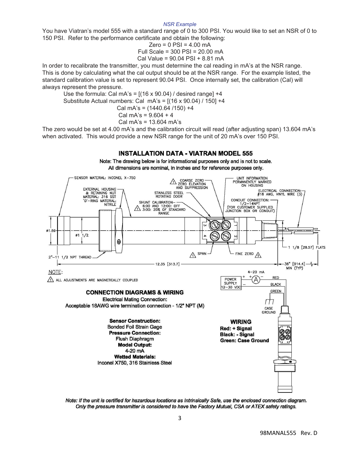#### *NSR Example*

You have Viatran's model 555 with a standard range of 0 to 300 PSI. You would like to set an NSR of 0 to 150 PSI. Refer to the performance certificate and obtain the following:

Zero = 0 PSI = 
$$
4.00
$$
 mA  
Full Scale =  $300$  PSI =  $20.00$  mA  
Cal Value =  $90.04$  PSI +  $8.81$  mA

In order to recalibrate the transmitter, you must determine the cal reading in mA's at the NSR range. This is done by calculating what the cal output should be at the NSR range. For the example listed, the standard calibration value is set to represent 90.04 PSI. Once internally set, the calibration (Cal) will always represent the pressure.

Use the formula: Cal mA's =  $[(16 \times 90.04) /$  desired range] +4

Substitute Actual numbers: Cal mA's = [(16 x 90.04) / 150] +4

Cal mA's = (1440.64 /150) +4

Cal mA's =  $9.604 + 4$ 

Cal mA's = 13.604 mA's

The zero would be set at 4.00 mA's and the calibration circuit will read (after adjusting span) 13.604 mA's when activated. This would provide a new NSR range for the unit of 20 mA's over 150 PSI.

# **INSTALLATION DATA - VIATRAN MODEL 555**

Note: The drawing below is for informational purposes only and is not to scale. All dimensions are nominal, in inches and for reference purposes only.



Note: If the unit is certified for hazardous locations as Intrinsically Safe, use the enclosed connection diagram. Only the pressure transmitter is considered to have the Factory Mutual, CSA or ATEX safety ratings.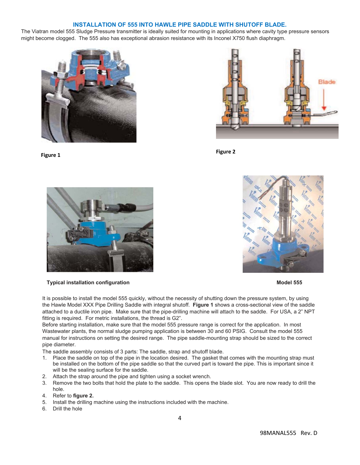## **INSTALLATION OF 555 INTO HAWLE PIPE SADDLE WITH SHUTOFF BLADE.**

The Viatran model 555 Sludge Pressure transmitter is ideally suited for mounting in applications where cavity type pressure sensors might become clogged. The 555 also has exceptional abrasion resistance with its Inconel X750 flush diaphragm.











**Typical installation configuration Model 555 and Service 2018 and Service 2018 and Service 2019 and Model 555** 

It is possible to install the model 555 quickly, without the necessity of shutting down the pressure system, by using the Hawle Model XXX Pipe Drilling Saddle with integral shutoff. **Figure 1** shows a cross-sectional view of the saddle attached to a ductile iron pipe. Make sure that the pipe-drilling machine will attach to the saddle. For USA, a 2" NPT fitting is required. For metric installations, the thread is G2".

Before starting installation, make sure that the model 555 pressure range is correct for the application. In most Wastewater plants, the normal sludge pumping application is between 30 and 60 PSIG. Consult the model 555 manual for instructions on setting the desired range. The pipe saddle-mounting strap should be sized to the correct pipe diameter.

The saddle assembly consists of 3 parts: The saddle, strap and shutoff blade.

- Place the saddle on top of the pipe in the location desired. The gasket that comes with the mounting strap must be installed on the bottom of the pipe saddle so that the curved part is toward the pipe. This is important since it will be the sealing surface for the saddle.
- 2. Attach the strap around the pipe and tighten using a socket wrench.
- 3. Remove the two bolts that hold the plate to the saddle. This opens the blade slot. You are now ready to drill the hole.
- 4. Refer to **figure 2.**
- 5. Install the drilling machine using the instructions included with the machine.
- 6. Drill the hole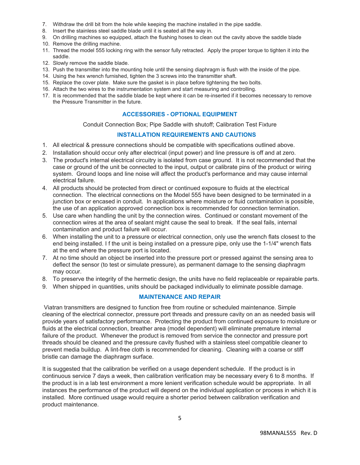- 7. Withdraw the drill bit from the hole while keeping the machine installed in the pipe saddle.
- 8. Insert the stainless steel saddle blade until it is seated all the way in.
- 9. On drilling machines so equipped, attach the flushing hoses to clean out the cavity above the saddle blade
- 10. Remove the drilling machine.
- 11. Thread the model 555 locking ring with the sensor fully retracted. Apply the proper torque to tighten it into the saddle.
- 12. Slowly remove the saddle blade.
- 13. Push the transmitter into the mounting hole until the sensing diaphragm is flush with the inside of the pipe.
- 14. Using the hex wrench furnished, tighten the 3 screws into the transmitter shaft.
- 15. Replace the cover plate. Make sure the gasket is in place before tightening the two bolts.
- 16. Attach the two wires to the instrumentation system and start measuring and controlling.
- 17. It is recommended that the saddle blade be kept where it can be re-inserted if it becomes necessary to remove the Pressure Transmitter in the future.

# **ACCESSORIES - OPTIONAL EQUIPMENT**

Conduit Connection Box; Pipe Saddle with shutoff; Calibration Test Fixture

# **INSTALLATION REQUIREMENTS AND CAUTIONS**

- 1. All electrical & pressure connections should be compatible with specifications outlined above.
- 2. Installation should occur only after electrical (input power) and line pressure is off and at zero.
- 3. The product's internal electrical circuitry is isolated from case ground. It is not recommended that the case or ground of the unit be connected to the input, output or calibrate pins of the product or wiring system. Ground loops and line noise will affect the product's performance and may cause internal electrical failure.
- 4. All products should be protected from direct or continued exposure to fluids at the electrical connection. The electrical connections on the Model 555 have been designed to be terminated in a junction box or encased in conduit. In applications where moisture or fluid contamination is possible, the use of an application approved connection box is recommended for connection termination.
- 5. Use care when handling the unit by the connection wires. Continued or constant movement of the connection wires at the area of sealant might cause the seal to break. If the seal fails, internal contamination and product failure will occur.
- 6. When installing the unit to a pressure or electrical connection, only use the wrench flats closest to the end being installed. I f the unit is being installed on a pressure pipe, only use the 1-1/4" wrench flats at the end where the pressure port is located.
- 7. At no time should an object be inserted into the pressure port or pressed against the sensing area to deflect the sensor (to test or simulate pressure), as permanent damage to the sensing diaphragm may occur.
- 8. To preserve the integrity of the hermetic design, the units have no field replaceable or repairable parts.
- 9. When shipped in quantities, units should be packaged individually to eliminate possible damage.

## **MAINTENANCE AND REPAIR**

Viatran transmitters are designed to function free from routine or scheduled maintenance. Simple cleaning of the electrical connector, pressure port threads and pressure cavity on an as needed basis will provide years of satisfactory performance. Protecting the product from continued exposure to moisture or fluids at the electrical connection, breather area (model dependent) will eliminate premature internal failure of the product. Whenever the product is removed from service the connector and pressure port threads should be cleaned and the pressure cavity flushed with a stainless steel compatible cleaner to prevent media buildup. A lint-free cloth is recommended for cleaning. Cleaning with a coarse or stiff bristle can damage the diaphragm surface.

It is suggested that the calibration be verified on a usage dependent schedule. If the product is in continuous service 7 days a week, then calibration verification may be necessary every 6 to 8 months. If the product is in a lab test environment a more lenient verification schedule would be appropriate. In all instances the performance of the product will depend on the individual application or process in which it is installed. More continued usage would require a shorter period between calibration verification and product maintenance.